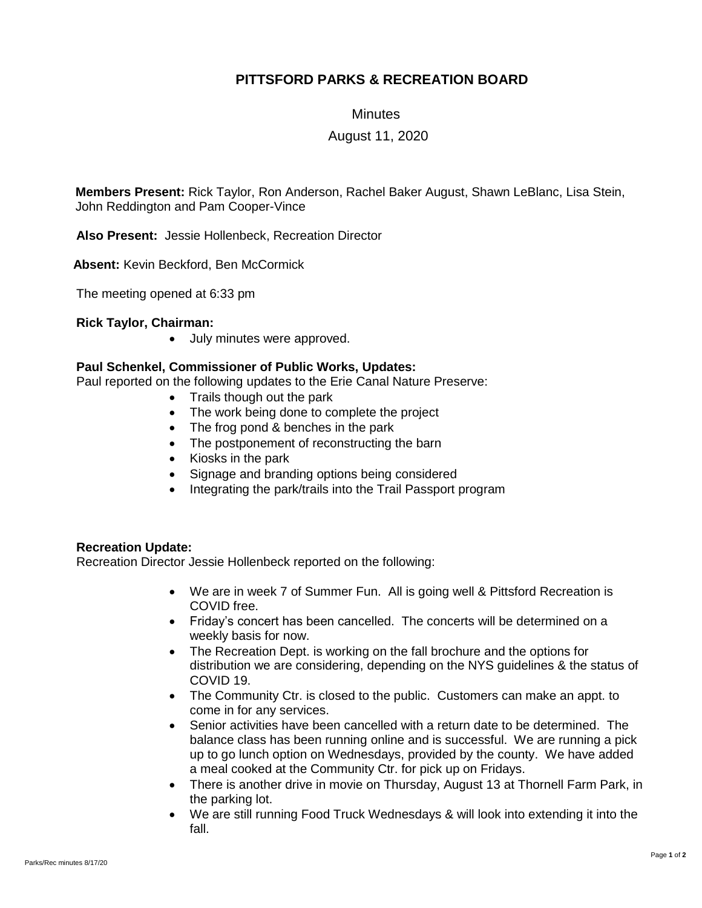# **PITTSFORD PARKS & RECREATION BOARD**

#### **Minutes**

### August 11, 2020

**Members Present:** Rick Taylor, Ron Anderson, Rachel Baker August, Shawn LeBlanc, Lisa Stein, John Reddington and Pam Cooper-Vince

**Also Present:** Jessie Hollenbeck, Recreation Director

 **Absent:** Kevin Beckford, Ben McCormick

The meeting opened at 6:33 pm

**Rick Taylor, Chairman:**

• July minutes were approved.

### **Paul Schenkel, Commissioner of Public Works, Updates:**

Paul reported on the following updates to the Erie Canal Nature Preserve:

- Trails though out the park
- The work being done to complete the project
- The frog pond & benches in the park
- The postponement of reconstructing the barn
- Kiosks in the park
- Signage and branding options being considered
- Integrating the park/trails into the Trail Passport program

## **Recreation Update:**

Recreation Director Jessie Hollenbeck reported on the following:

- We are in week 7 of Summer Fun. All is going well & Pittsford Recreation is COVID free.
- Friday's concert has been cancelled. The concerts will be determined on a weekly basis for now.
- The Recreation Dept. is working on the fall brochure and the options for distribution we are considering, depending on the NYS guidelines & the status of COVID 19.
- The Community Ctr. is closed to the public. Customers can make an appt. to come in for any services.
- Senior activities have been cancelled with a return date to be determined. The balance class has been running online and is successful. We are running a pick up to go lunch option on Wednesdays, provided by the county. We have added a meal cooked at the Community Ctr. for pick up on Fridays.
- There is another drive in movie on Thursday, August 13 at Thornell Farm Park, in the parking lot.
- We are still running Food Truck Wednesdays & will look into extending it into the fall.